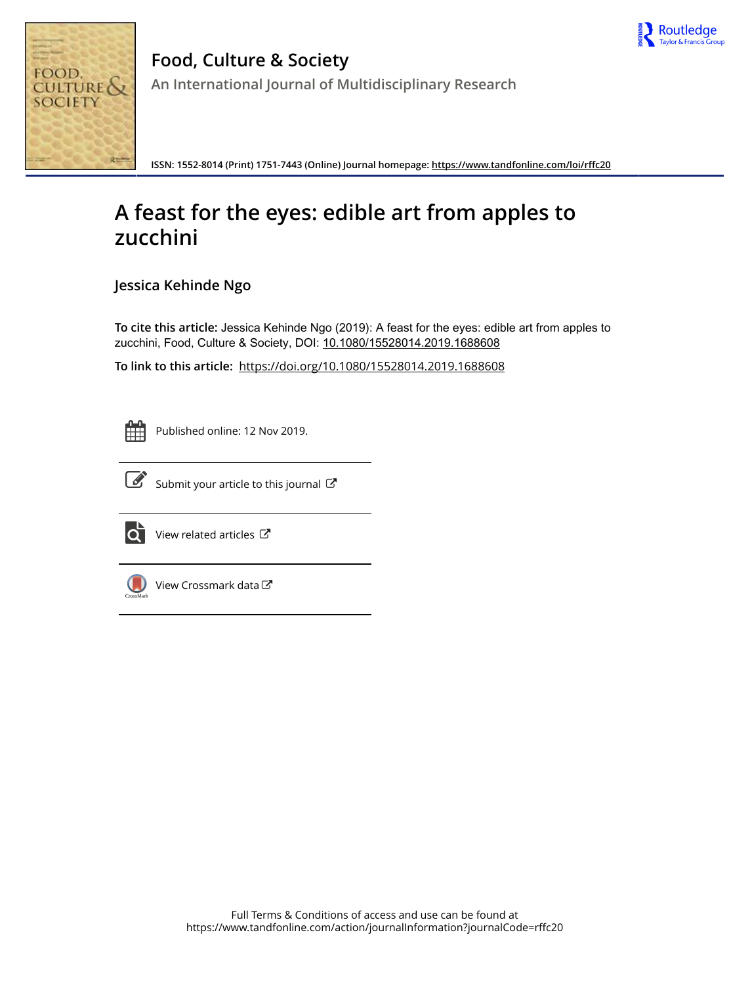



**Food, Culture & Society An International Journal of Multidisciplinary Research**

**ISSN: 1552-8014 (Print) 1751-7443 (Online) Journal homepage:<https://www.tandfonline.com/loi/rffc20>**

## **A feast for the eyes: edible art from apples to zucchini**

**Jessica Kehinde Ngo**

**To cite this article:** Jessica Kehinde Ngo (2019): A feast for the eyes: edible art from apples to zucchini, Food, Culture & Society, DOI: [10.1080/15528014.2019.1688608](https://www.tandfonline.com/action/showCitFormats?doi=10.1080/15528014.2019.1688608)

**To link to this article:** <https://doi.org/10.1080/15528014.2019.1688608>



Published online: 12 Nov 2019.



 $\overrightarrow{S}$  [Submit your article to this journal](https://www.tandfonline.com/action/authorSubmission?journalCode=rffc20&show=instructions)  $\overrightarrow{S}$ 



 $\overline{\mathbf{C}}$  [View related articles](https://www.tandfonline.com/doi/mlt/10.1080/15528014.2019.1688608)  $\mathbf{C}$ 



[View Crossmark data](http://crossmark.crossref.org/dialog/?doi=10.1080/15528014.2019.1688608&domain=pdf&date_stamp=2019-11-12)  $\sigma$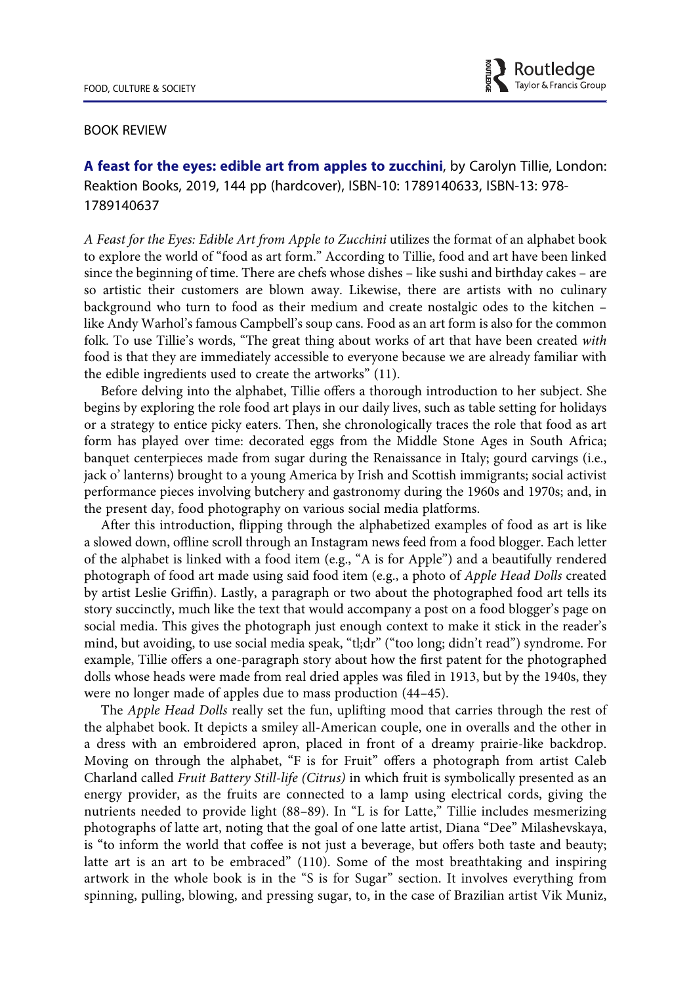

## BOOK REVIEW

A feast for the eyes: edible art from apples to zucchini, by Carolyn Tillie, London: Reaktion Books, 2019, 144 pp (hardcover), ISBN-10: 1789140633, ISBN-13: 978- 1789140637

A Feast for the Eyes: Edible Art from Apple to Zucchini utilizes the format of an alphabet book to explore the world of "food as art form." According to Tillie, food and art have been linked since the beginning of time. There are chefs whose dishes – like sushi and birthday cakes – are so artistic their customers are blown away. Likewise, there are artists with no culinary background who turn to food as their medium and create nostalgic odes to the kitchen – like Andy Warhol's famous Campbell's soup cans. Food as an art form is also for the common folk. To use Tillie's words, "The great thing about works of art that have been created with food is that they are immediately accessible to everyone because we are already familiar with the edible ingredients used to create the artworks" (11).

Before delving into the alphabet, Tillie offers a thorough introduction to her subject. She begins by exploring the role food art plays in our daily lives, such as table setting for holidays or a strategy to entice picky eaters. Then, she chronologically traces the role that food as art form has played over time: decorated eggs from the Middle Stone Ages in South Africa; banquet centerpieces made from sugar during the Renaissance in Italy; gourd carvings (i.e., jack o' lanterns) brought to a young America by Irish and Scottish immigrants; social activist performance pieces involving butchery and gastronomy during the 1960s and 1970s; and, in the present day, food photography on various social media platforms.

After this introduction, flipping through the alphabetized examples of food as art is like a slowed down, offline scroll through an Instagram news feed from a food blogger. Each letter of the alphabet is linked with a food item (e.g., "A is for Apple") and a beautifully rendered photograph of food art made using said food item (e.g., a photo of Apple Head Dolls created by artist Leslie Griffin). Lastly, a paragraph or two about the photographed food art tells its story succinctly, much like the text that would accompany a post on a food blogger's page on social media. This gives the photograph just enough context to make it stick in the reader's mind, but avoiding, to use social media speak, "tl;dr" ("too long; didn't read") syndrome. For example, Tillie offers a one-paragraph story about how the first patent for the photographed dolls whose heads were made from real dried apples was filed in 1913, but by the 1940s, they were no longer made of apples due to mass production (44–45).

The Apple Head Dolls really set the fun, uplifting mood that carries through the rest of the alphabet book. It depicts a smiley all-American couple, one in overalls and the other in a dress with an embroidered apron, placed in front of a dreamy prairie-like backdrop. Moving on through the alphabet, "F is for Fruit" offers a photograph from artist Caleb Charland called Fruit Battery Still-life (Citrus) in which fruit is symbolically presented as an energy provider, as the fruits are connected to a lamp using electrical cords, giving the nutrients needed to provide light (88–89). In "L is for Latte," Tillie includes mesmerizing photographs of latte art, noting that the goal of one latte artist, Diana "Dee" Milashevskaya, is "to inform the world that coffee is not just a beverage, but offers both taste and beauty; latte art is an art to be embraced" (110). Some of the most breathtaking and inspiring artwork in the whole book is in the "S is for Sugar" section. It involves everything from spinning, pulling, blowing, and pressing sugar, to, in the case of Brazilian artist Vik Muniz,